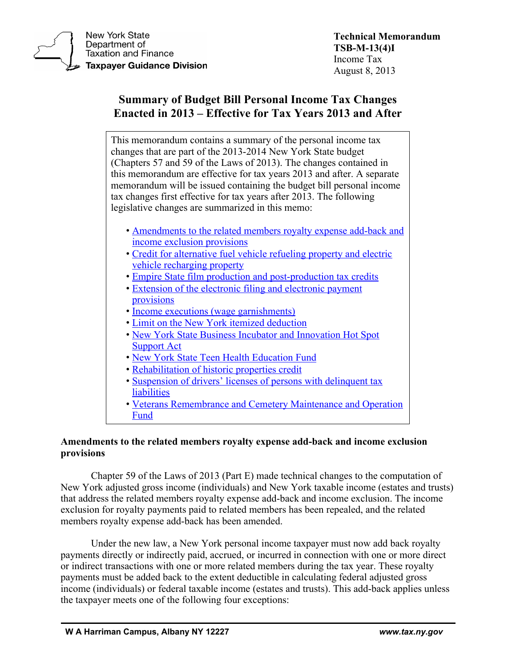

**New York State** Department of **Taxation and Finance Taxpayer Guidance Division** 

# **Summary of Budget Bill Personal Income Tax Changes Enacted in 2013 – Effective for Tax Years 2013 and After**

This memorandum contains a summary of the personal income tax changes that are part of the 2013-2014 New York State budget (Chapters 57 and 59 of the Laws of 2013). The changes contained in this memorandum are effective for tax years 2013 and after. A separate memorandum will be issued containing the budget bill personal income tax changes first effective for tax years after 2013. The following legislative changes are summarized in this memo:

- [Amendments to the related members royalty expense add-back and](#page-0-0)  [income exclusion provisions](#page-0-0)
- [Credit for alternative fuel vehicle refueling property and electric](#page-3-0)  [vehicle recharging property](#page-3-0)
- Empire [State film production and post-production tax credits](#page-3-1)
- [Extension of the electronic filing and electronic payment](#page-6-0)  [provisions](#page-6-0)
- [Income executions \(wage garnishments\)](#page-7-0)
- [Limit on the New York itemized deduction](#page-8-0)
- [New York State Business Incubator and Innovation](#page-8-1) Hot Spot [Support Act](#page-8-1)
- [New York State Teen Health Education Fund](#page-10-0)
- [Rehabilitation of historic properties credit](#page-10-1)
- Suspension of drivers' [licenses of persons with delinquent tax](#page-11-0)  **[liabilities](#page-11-0)**
- [Veterans Remembrance and Cemetery Maintenance and Operation](#page-13-0)  [Fund](#page-13-0)

# <span id="page-0-0"></span>**Amendments to the related members royalty expense add-back and income exclusion provisions**

Chapter 59 of the Laws of 2013 (Part E) made technical changes to the computation of New York adjusted gross income (individuals) and New York taxable income (estates and trusts) that address the related members royalty expense add-back and income exclusion. The income exclusion for royalty payments paid to related members has been repealed, and the related members royalty expense add-back has been amended.

Under the new law, a New York personal income taxpayer must now add back royalty payments directly or indirectly paid, accrued, or incurred in connection with one or more direct or indirect transactions with one or more related members during the tax year. These royalty payments must be added back to the extent deductible in calculating federal adjusted gross income (individuals) or federal taxable income (estates and trusts). This add-back applies unless the taxpayer meets one of the following four exceptions: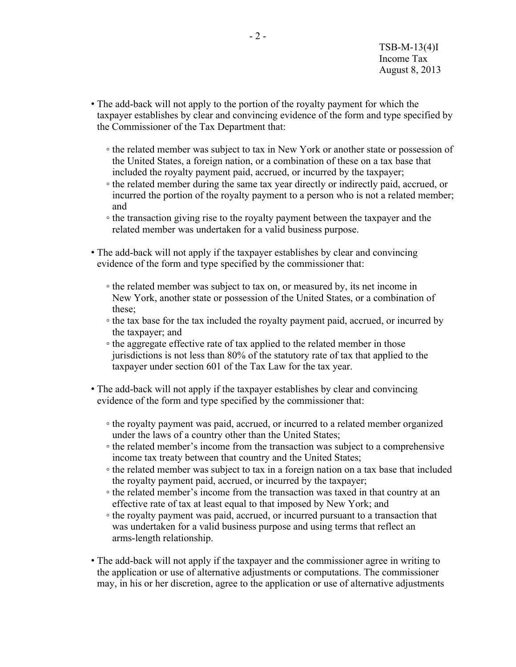- The add-back will not apply to the portion of the royalty payment for which the taxpayer establishes by clear and convincing evidence of the form and type specified by the Commissioner of the Tax Department that:
	- the related member was subject to tax in New York or another state or possession of the United States, a foreign nation, or a combination of these on a tax base that included the royalty payment paid, accrued, or incurred by the taxpayer;
	- the related member during the same tax year directly or indirectly paid, accrued, or incurred the portion of the royalty payment to a person who is not a related member; and
	- the transaction giving rise to the royalty payment between the taxpayer and the related member was undertaken for a valid business purpose.
- The add-back will not apply if the taxpayer establishes by clear and convincing evidence of the form and type specified by the commissioner that:
	- the related member was subject to tax on, or measured by, its net income in New York, another state or possession of the United States, or a combination of these;
	- the tax base for the tax included the royalty payment paid, accrued, or incurred by the taxpayer; and
	- the aggregate effective rate of tax applied to the related member in those jurisdictions is not less than 80% of the statutory rate of tax that applied to the taxpayer under section 601 of the Tax Law for the tax year.
- The add-back will not apply if the taxpayer establishes by clear and convincing evidence of the form and type specified by the commissioner that:
	- the royalty payment was paid, accrued, or incurred to a related member organized under the laws of a country other than the United States;
	- the related member's income from the transaction was subject to a comprehensive income tax treaty between that country and the United States;
	- the related member was subject to tax in a foreign nation on a tax base that included the royalty payment paid, accrued, or incurred by the taxpayer;
	- the related member's income from the transaction was taxed in that country at an effective rate of tax at least equal to that imposed by New York; and
	- the royalty payment was paid, accrued, or incurred pursuant to a transaction that was undertaken for a valid business purpose and using terms that reflect an arms-length relationship.
- The add-back will not apply if the taxpayer and the commissioner agree in writing to the application or use of alternative adjustments or computations. The commissioner may, in his or her discretion, agree to the application or use of alternative adjustments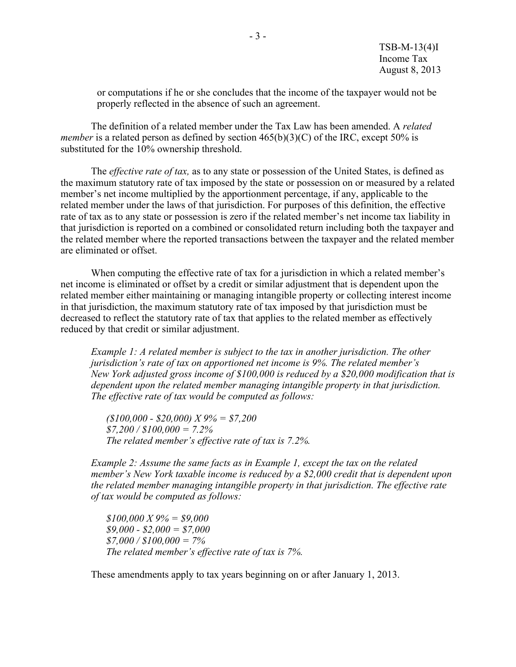or computations if he or she concludes that the income of the taxpayer would not be properly reflected in the absence of such an agreement.

The definition of a related member under the Tax Law has been amended. A *related member* is a related person as defined by section  $465(b)(3)(C)$  of the IRC, except 50% is substituted for the 10% ownership threshold.

The *effective rate of tax,* as to any state or possession of the United States, is defined as the maximum statutory rate of tax imposed by the state or possession on or measured by a related member's net income multiplied by the apportionment percentage, if any, applicable to the related member under the laws of that jurisdiction. For purposes of this definition, the effective rate of tax as to any state or possession is zero if the related member's net income tax liability in that jurisdiction is reported on a combined or consolidated return including both the taxpayer and the related member where the reported transactions between the taxpayer and the related member are eliminated or offset.

When computing the effective rate of tax for a jurisdiction in which a related member's net income is eliminated or offset by a credit or similar adjustment that is dependent upon the related member either maintaining or managing intangible property or collecting interest income in that jurisdiction, the maximum statutory rate of tax imposed by that jurisdiction must be decreased to reflect the statutory rate of tax that applies to the related member as effectively reduced by that credit or similar adjustment.

*Example 1: A related member is subject to the tax in another jurisdiction. The other jurisdiction's rate of tax on apportioned net income is 9%. The related member's New York adjusted gross income of \$100,000 is reduced by a \$20,000 modification that is dependent upon the related member managing intangible property in that jurisdiction. The effective rate of tax would be computed as follows:*

*(\$100,000 - \$20,000) X 9% = \$7,200 \$7,200 / \$100,000 = 7.2% The related member's effective rate of tax is 7.2%.*

*Example 2: Assume the same facts as in Example 1, except the tax on the related member's New York taxable income is reduced by a \$2,000 credit that is dependent upon the related member managing intangible property in that jurisdiction. The effective rate of tax would be computed as follows:*

*\$100,000 X 9% = \$9,000 \$9,000 - \$2,000 = \$7,000 \$7,000 / \$100,000 = 7% The related member's effective rate of tax is 7%.*

These amendments apply to tax years beginning on or after January 1, 2013.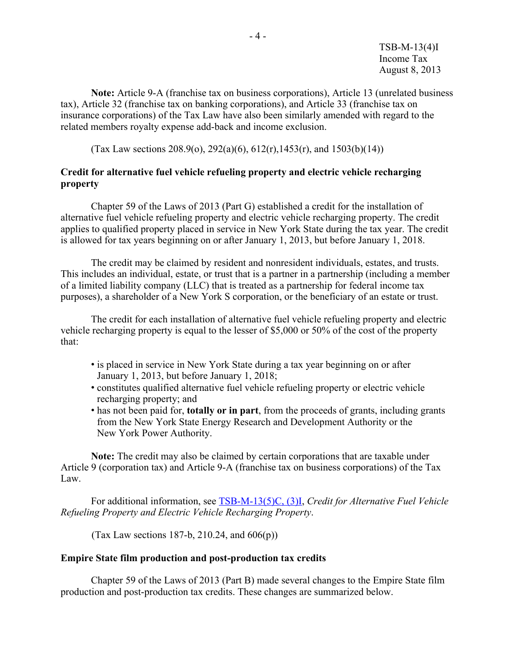TSB-M-13(4)I Income Tax August 8, 2013

**Note:** Article 9-A (franchise tax on business corporations), Article 13 (unrelated business tax), Article 32 (franchise tax on banking corporations), and Article 33 (franchise tax on insurance corporations) of the Tax Law have also been similarly amended with regard to the related members royalty expense add-back and income exclusion.

(Tax Law sections 208.9(o), 292(a)(6), 612(r), 1453(r), and 1503(b)(14))

## <span id="page-3-0"></span>**Credit for alternative fuel vehicle refueling property and electric vehicle recharging property**

Chapter 59 of the Laws of 2013 (Part G) established a credit for the installation of alternative fuel vehicle refueling property and electric vehicle recharging property. The credit applies to qualified property placed in service in New York State during the tax year. The credit is allowed for tax years beginning on or after January 1, 2013, but before January 1, 2018.

The credit may be claimed by resident and nonresident individuals, estates, and trusts. This includes an individual, estate, or trust that is a partner in a partnership (including a member of a limited liability company (LLC) that is treated as a partnership for federal income tax purposes), a shareholder of a New York S corporation, or the beneficiary of an estate or trust.

The credit for each installation of alternative fuel vehicle refueling property and electric vehicle recharging property is equal to the lesser of \$5,000 or 50% of the cost of the property that:

- is placed in service in New York State during a tax year beginning on or after January 1, 2013, but before January 1, 2018;
- constitutes qualified alternative fuel vehicle refueling property or electric vehicle recharging property; and
- has not been paid for, **totally or in part**, from the proceeds of grants, including grants from the New York State Energy Research and Development Authority or the New York Power Authority.

**Note:** The credit may also be claimed by certain corporations that are taxable under Article 9 (corporation tax) and Article 9-A (franchise tax on business corporations) of the Tax Law.

For additional information, see [TSB-M-13\(5\)C, \(3\)I,](https://www.tax.ny.gov/pdf/memos/multitax/m13_5c_3i.pdf) *Credit for Alternative Fuel Vehicle Refueling Property and Electric Vehicle Recharging Property*.

(Tax Law sections 187-b, 210.24, and  $606(p)$ )

#### <span id="page-3-1"></span>**Empire State film production and post-production tax credits**

Chapter 59 of the Laws of 2013 (Part B) made several changes to the Empire State film production and post-production tax credits. These changes are summarized below.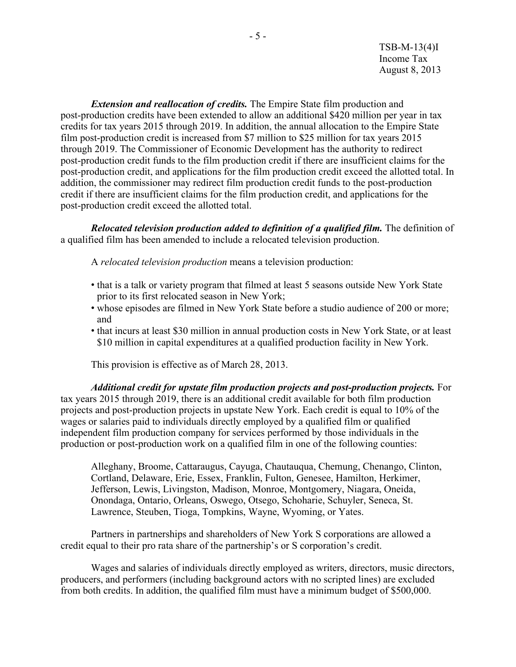TSB-M-13(4)I Income Tax August 8, 2013

*Extension and reallocation of credits.* The Empire State film production and post-production credits have been extended to allow an additional \$420 million per year in tax credits for tax years 2015 through 2019. In addition, the annual allocation to the Empire State film post-production credit is increased from \$7 million to \$25 million for tax years 2015 through 2019. The Commissioner of Economic Development has the authority to redirect post-production credit funds to the film production credit if there are insufficient claims for the post-production credit, and applications for the film production credit exceed the allotted total. In addition, the commissioner may redirect film production credit funds to the post-production credit if there are insufficient claims for the film production credit, and applications for the post-production credit exceed the allotted total.

*Relocated television production added to definition of a qualified film.* The definition of a qualified film has been amended to include a relocated television production.

A *relocated television production* means a television production:

- that is a talk or variety program that filmed at least 5 seasons outside New York State prior to its first relocated season in New York;
- whose episodes are filmed in New York State before a studio audience of 200 or more; and
- that incurs at least \$30 million in annual production costs in New York State, or at least \$10 million in capital expenditures at a qualified production facility in New York.

This provision is effective as of March 28, 2013.

*Additional credit for upstate film production projects and post-production projects.* For tax years 2015 through 2019, there is an additional credit available for both film production projects and post-production projects in upstate New York. Each credit is equal to 10% of the wages or salaries paid to individuals directly employed by a qualified film or qualified independent film production company for services performed by those individuals in the production or post-production work on a qualified film in one of the following counties:

Alleghany, Broome, Cattaraugus, Cayuga, Chautauqua, Chemung, Chenango, Clinton, Cortland, Delaware, Erie, Essex, Franklin, Fulton, Genesee, Hamilton, Herkimer, Jefferson, Lewis, Livingston, Madison, Monroe, Montgomery, Niagara, Oneida, Onondaga, Ontario, Orleans, Oswego, Otsego, Schoharie, Schuyler, Seneca, St. Lawrence, Steuben, Tioga, Tompkins, Wayne, Wyoming, or Yates.

Partners in partnerships and shareholders of New York S corporations are allowed a credit equal to their pro rata share of the partnership's or S corporation's credit.

Wages and salaries of individuals directly employed as writers, directors, music directors, producers, and performers (including background actors with no scripted lines) are excluded from both credits. In addition, the qualified film must have a minimum budget of \$500,000.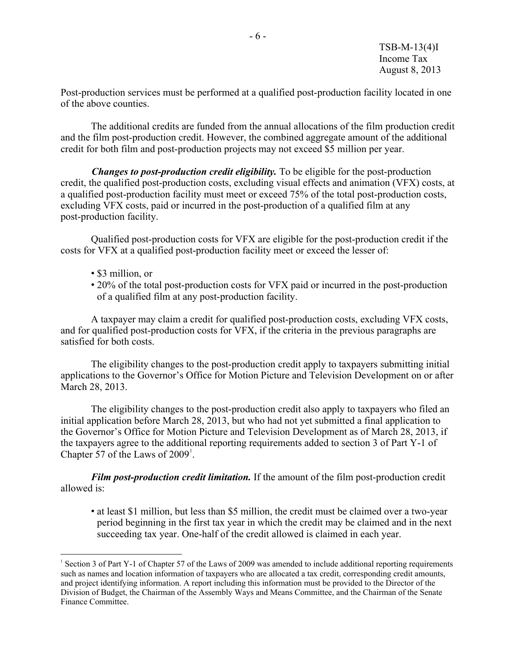Post-production services must be performed at a qualified post-production facility located in one of the above counties.

The additional credits are funded from the annual allocations of the film production credit and the film post-production credit. However, the combined aggregate amount of the additional credit for both film and post-production projects may not exceed \$5 million per year.

*Changes to post-production credit eligibility.* To be eligible for the post-production credit, the qualified post-production costs, excluding visual effects and animation (VFX) costs, at a qualified post-production facility must meet or exceed 75% of the total post-production costs, excluding VFX costs, paid or incurred in the post-production of a qualified film at any post-production facility.

Qualified post-production costs for VFX are eligible for the post-production credit if the costs for VFX at a qualified post-production facility meet or exceed the lesser of:

• \$3 million, or

 $\overline{a}$ 

• 20% of the total post-production costs for VFX paid or incurred in the post-production of a qualified film at any post-production facility.

A taxpayer may claim a credit for qualified post-production costs, excluding VFX costs, and for qualified post-production costs for VFX, if the criteria in the previous paragraphs are satisfied for both costs.

The eligibility changes to the post-production credit apply to taxpayers submitting initial applications to the Governor's Office for Motion Picture and Television Development on or after March 28, 2013.

The eligibility changes to the post-production credit also apply to taxpayers who filed an initial application before March 28, 2013, but who had not yet submitted a final application to the Governor's Office for Motion Picture and Television Development as of March 28, 2013, if the taxpayers agree to the additional reporting requirements added to section 3 of Part Y-1 of Chapter 57 of the Laws of  $2009<sup>1</sup>$  $2009<sup>1</sup>$  $2009<sup>1</sup>$ .

*Film post-production credit limitation.* If the amount of the film post-production credit allowed is:

• at least \$1 million, but less than \$5 million, the credit must be claimed over a two-year period beginning in the first tax year in which the credit may be claimed and in the next succeeding tax year. One-half of the credit allowed is claimed in each year.

<span id="page-5-0"></span><sup>1</sup> Section 3 of Part Y-1 of Chapter 57 of the Laws of 2009 was amended to include additional reporting requirements such as names and location information of taxpayers who are allocated a tax credit, corresponding credit amounts, and project identifying information. A report including this information must be provided to the Director of the Division of Budget, the Chairman of the Assembly Ways and Means Committee, and the Chairman of the Senate Finance Committee.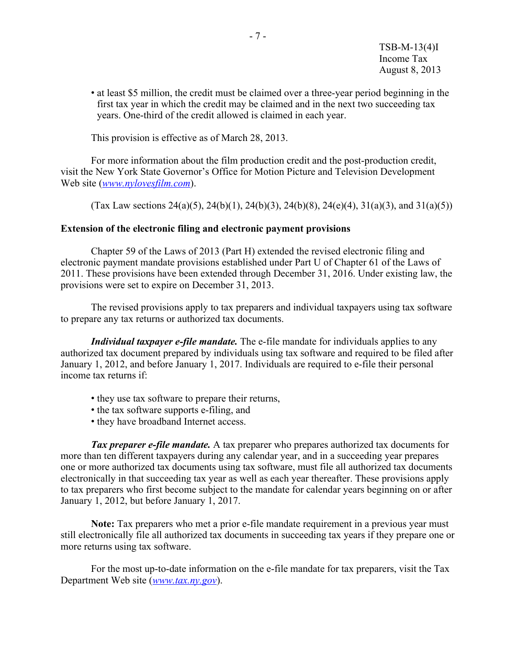• at least \$5 million, the credit must be claimed over a three-year period beginning in the first tax year in which the credit may be claimed and in the next two succeeding tax years. One-third of the credit allowed is claimed in each year.

This provision is effective as of March 28, 2013.

For more information about the film production credit and the post-production credit, visit the New York State Governor's Office for Motion Picture and Television Development Web site (*[www.nylovesfilm.com](http://www.nylovesfilm.com/)*).

(Tax Law sections 24(a)(5), 24(b)(1), 24(b)(3), 24(b)(8), 24(e)(4), 31(a)(3), and 31(a)(5))

## <span id="page-6-0"></span>**Extension of the electronic filing and electronic payment provisions**

Chapter 59 of the Laws of 2013 (Part H) extended the revised electronic filing and electronic payment mandate provisions established under Part U of Chapter 61 of the Laws of 2011. These provisions have been extended through December 31, 2016. Under existing law, the provisions were set to expire on December 31, 2013.

The revised provisions apply to tax preparers and individual taxpayers using tax software to prepare any tax returns or authorized tax documents.

*Individual taxpayer e-file mandate.* The e-file mandate for individuals applies to any authorized tax document prepared by individuals using tax software and required to be filed after January 1, 2012, and before January 1, 2017. Individuals are required to e-file their personal income tax returns if:

- they use tax software to prepare their returns,
- the tax software supports e-filing, and
- they have broadband Internet access.

*Tax preparer e-file mandate.* A tax preparer who prepares authorized tax documents for more than ten different taxpayers during any calendar year, and in a succeeding year prepares one or more authorized tax documents using tax software, must file all authorized tax documents electronically in that succeeding tax year as well as each year thereafter. These provisions apply to tax preparers who first become subject to the mandate for calendar years beginning on or after January 1, 2012, but before January 1, 2017.

**Note:** Tax preparers who met a prior e-file mandate requirement in a previous year must still electronically file all authorized tax documents in succeeding tax years if they prepare one or more returns using tax software.

For the most up-to-date information on the e-file mandate for tax preparers, visit the Tax Department Web site (*[www.tax.ny.gov](https://www.tax.ny.gov/)*).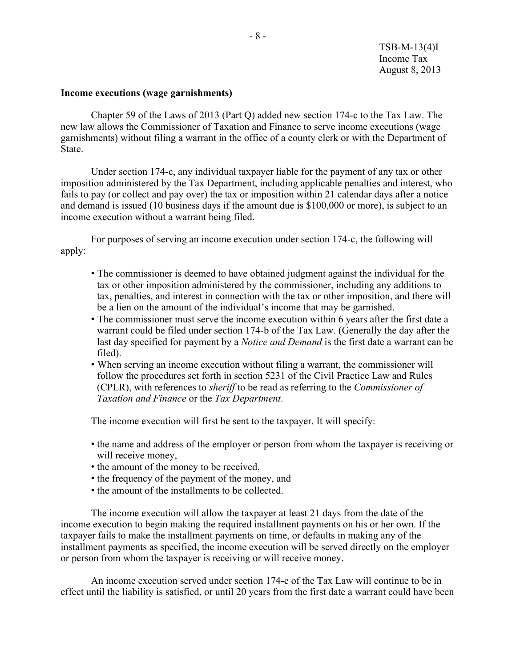#### <span id="page-7-0"></span>**Income executions (wage garnishments)**

Chapter 59 of the Laws of 2013 (Part Q) added new section 174-c to the Tax Law. The new law allows the Commissioner of Taxation and Finance to serve income executions (wage garnishments) without filing a warrant in the office of a county clerk or with the Department of State.

Under section 174-c, any individual taxpayer liable for the payment of any tax or other imposition administered by the Tax Department, including applicable penalties and interest, who fails to pay (or collect and pay over) the tax or imposition within 21 calendar days after a notice and demand is issued (10 business days if the amount due is \$100,000 or more), is subject to an income execution without a warrant being filed.

For purposes of serving an income execution under section 174-c, the following will apply:

- The commissioner is deemed to have obtained judgment against the individual for the tax or other imposition administered by the commissioner, including any additions to tax, penalties, and interest in connection with the tax or other imposition, and there will be a lien on the amount of the individual's income that may be garnished.
- The commissioner must serve the income execution within 6 years after the first date a warrant could be filed under section 174-b of the Tax Law. (Generally the day after the last day specified for payment by a *Notice and Demand* is the first date a warrant can be filed).
- When serving an income execution without filing a warrant, the commissioner will follow the procedures set forth in section 5231 of the Civil Practice Law and Rules (CPLR), with references to *sheriff* to be read as referring to the *Commissioner of Taxation and Finance* or the *Tax Department*.

The income execution will first be sent to the taxpayer. It will specify:

- the name and address of the employer or person from whom the taxpayer is receiving or will receive money,
- the amount of the money to be received,
- the frequency of the payment of the money, and
- the amount of the installments to be collected.

The income execution will allow the taxpayer at least 21 days from the date of the income execution to begin making the required installment payments on his or her own. If the taxpayer fails to make the installment payments on time, or defaults in making any of the installment payments as specified, the income execution will be served directly on the employer or person from whom the taxpayer is receiving or will receive money.

An income execution served under section 174-c of the Tax Law will continue to be in effect until the liability is satisfied, or until 20 years from the first date a warrant could have been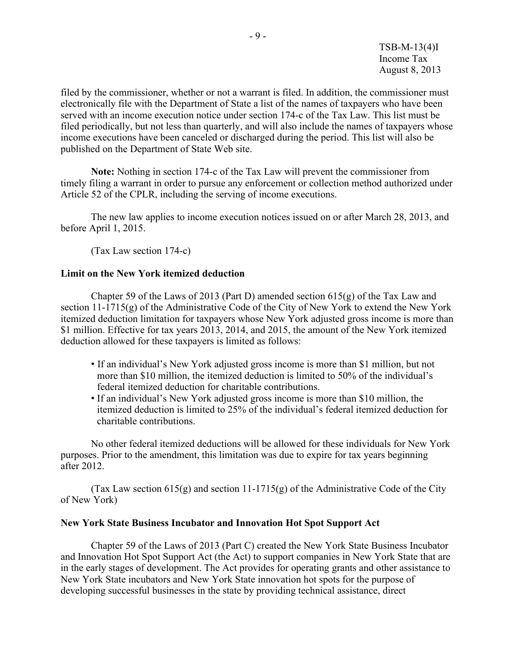TSB-M-13(4)I Income Tax August 8, 2013

filed by the commissioner, whether or not a warrant is filed. In addition, the commissioner must electronically file with the Department of State a list of the names of taxpayers who have been served with an income execution notice under section 174-c of the Tax Law. This list must be filed periodically, but not less than quarterly, and will also include the names of taxpayers whose income executions have been canceled or discharged during the period. This list will also be published on the Department of State Web site.

**Note:** Nothing in section 174-c of the Tax Law will prevent the commissioner from timely filing a warrant in order to pursue any enforcement or collection method authorized under Article 52 of the CPLR, including the serving of income executions.

The new law applies to income execution notices issued on or after March 28, 2013, and before April 1, 2015.

(Tax Law section 174-c)

#### <span id="page-8-0"></span>**Limit on the New York itemized deduction**

Chapter 59 of the Laws of 2013 (Part D) amended section 615(g) of the Tax Law and section 11-1715(g) of the Administrative Code of the City of New York to extend the New York itemized deduction limitation for taxpayers whose New York adjusted gross income is more than \$1 million. Effective for tax years 2013, 2014, and 2015, the amount of the New York itemized deduction allowed for these taxpayers is limited as follows:

- If an individual's New York adjusted gross income is more than \$1 million, but not more than \$10 million, the itemized deduction is limited to 50% of the individual's federal itemized deduction for charitable contributions.
- If an individual's New York adjusted gross income is more than \$10 million, the itemized deduction is limited to 25% of the individual's federal itemized deduction for charitable contributions.

No other federal itemized deductions will be allowed for these individuals for New York purposes. Prior to the amendment, this limitation was due to expire for tax years beginning after 2012.

(Tax Law section 615(g) and section 11-1715(g) of the Administrative Code of the City of New York)

#### <span id="page-8-1"></span>**New York State Business Incubator and Innovation Hot Spot Support Act**

Chapter 59 of the Laws of 2013 (Part C) created the New York State Business Incubator and Innovation Hot Spot Support Act (the Act) to support companies in New York State that are in the early stages of development. The Act provides for operating grants and other assistance to New York State incubators and New York State innovation hot spots for the purpose of developing successful businesses in the state by providing technical assistance, direct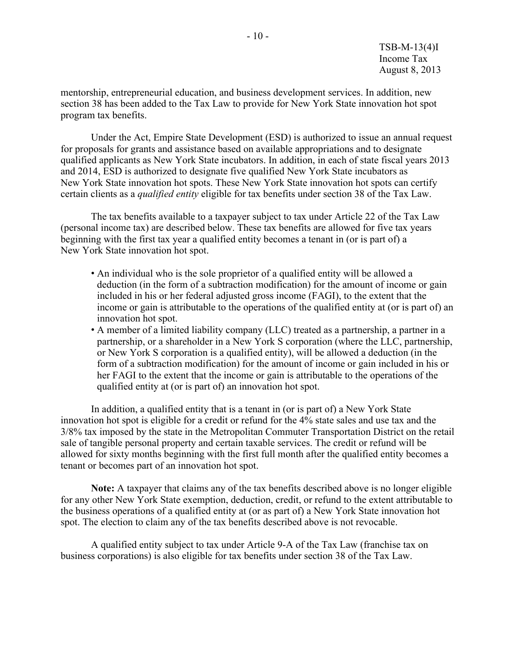mentorship, entrepreneurial education, and business development services. In addition, new section 38 has been added to the Tax Law to provide for New York State innovation hot spot program tax benefits.

Under the Act, Empire State Development (ESD) is authorized to issue an annual request for proposals for grants and assistance based on available appropriations and to designate qualified applicants as New York State incubators. In addition, in each of state fiscal years 2013 and 2014, ESD is authorized to designate five qualified New York State incubators as New York State innovation hot spots. These New York State innovation hot spots can certify certain clients as a *qualified entity* eligible for tax benefits under section 38 of the Tax Law.

The tax benefits available to a taxpayer subject to tax under Article 22 of the Tax Law (personal income tax) are described below. These tax benefits are allowed for five tax years beginning with the first tax year a qualified entity becomes a tenant in (or is part of) a New York State innovation hot spot.

- An individual who is the sole proprietor of a qualified entity will be allowed a deduction (in the form of a subtraction modification) for the amount of income or gain included in his or her federal adjusted gross income (FAGI), to the extent that the income or gain is attributable to the operations of the qualified entity at (or is part of) an innovation hot spot.
- A member of a limited liability company (LLC) treated as a partnership, a partner in a partnership, or a shareholder in a New York S corporation (where the LLC, partnership, or New York S corporation is a qualified entity), will be allowed a deduction (in the form of a subtraction modification) for the amount of income or gain included in his or her FAGI to the extent that the income or gain is attributable to the operations of the qualified entity at (or is part of) an innovation hot spot.

In addition, a qualified entity that is a tenant in (or is part of) a New York State innovation hot spot is eligible for a credit or refund for the 4% state sales and use tax and the 3/8% tax imposed by the state in the Metropolitan Commuter Transportation District on the retail sale of tangible personal property and certain taxable services. The credit or refund will be allowed for sixty months beginning with the first full month after the qualified entity becomes a tenant or becomes part of an innovation hot spot.

**Note:** A taxpayer that claims any of the tax benefits described above is no longer eligible for any other New York State exemption, deduction, credit, or refund to the extent attributable to the business operations of a qualified entity at (or as part of) a New York State innovation hot spot. The election to claim any of the tax benefits described above is not revocable.

A qualified entity subject to tax under Article 9-A of the Tax Law (franchise tax on business corporations) is also eligible for tax benefits under section 38 of the Tax Law.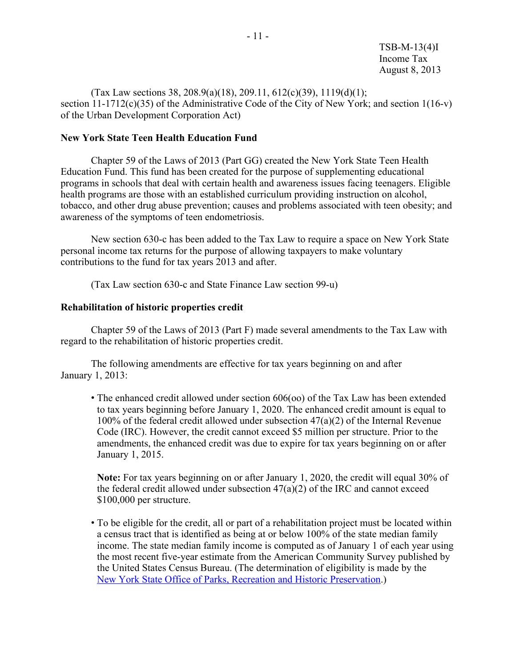(Tax Law sections 38, 208.9(a)(18), 209.11, 612(c)(39), 1119(d)(1); section  $11-1712(c)(35)$  of the Administrative Code of the City of New York; and section  $1(16-v)$ of the Urban Development Corporation Act)

#### <span id="page-10-0"></span>**New York State Teen Health Education Fund**

Chapter 59 of the Laws of 2013 (Part GG) created the New York State Teen Health Education Fund. This fund has been created for the purpose of supplementing educational programs in schools that deal with certain health and awareness issues facing teenagers. Eligible health programs are those with an established curriculum providing instruction on alcohol, tobacco, and other drug abuse prevention; causes and problems associated with teen obesity; and awareness of the symptoms of teen endometriosis.

New section 630-c has been added to the Tax Law to require a space on New York State personal income tax returns for the purpose of allowing taxpayers to make voluntary contributions to the fund for tax years 2013 and after.

(Tax Law section 630-c and State Finance Law section 99-u)

#### <span id="page-10-1"></span>**Rehabilitation of historic properties credit**

Chapter 59 of the Laws of 2013 (Part F) made several amendments to the Tax Law with regard to the rehabilitation of historic properties credit.

The following amendments are effective for tax years beginning on and after January 1, 2013:

• The enhanced credit allowed under section 606(oo) of the Tax Law has been extended to tax years beginning before January 1, 2020. The enhanced credit amount is equal to 100% of the federal credit allowed under subsection 47(a)(2) of the Internal Revenue Code (IRC). However, the credit cannot exceed \$5 million per structure. Prior to the amendments, the enhanced credit was due to expire for tax years beginning on or after January 1, 2015.

**Note:** For tax years beginning on or after January 1, 2020, the credit will equal 30% of the federal credit allowed under subsection  $47(a)(2)$  of the IRC and cannot exceed \$100,000 per structure.

• To be eligible for the credit, all or part of a rehabilitation project must be located within a census tract that is identified as being at or below 100% of the state median family income. The state median family income is computed as of January 1 of each year using the most recent five-year estimate from the American Community Survey published by the United States Census Bureau. (The determination of eligibility is made by the New [York State Office of Parks, Recreation and Historic Preservation.](http://nysparks.com/historic-preservation/))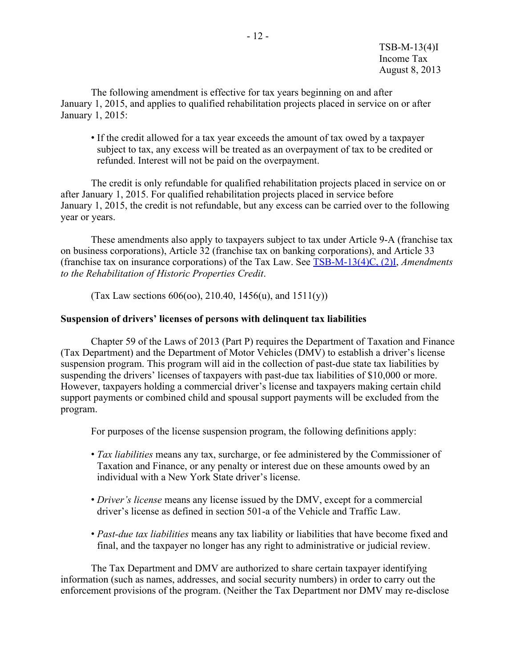The following amendment is effective for tax years beginning on and after January 1, 2015, and applies to qualified rehabilitation projects placed in service on or after January 1, 2015:

• If the credit allowed for a tax year exceeds the amount of tax owed by a taxpayer subject to tax, any excess will be treated as an overpayment of tax to be credited or refunded. Interest will not be paid on the overpayment.

The credit is only refundable for qualified rehabilitation projects placed in service on or after January 1, 2015. For qualified rehabilitation projects placed in service before January 1, 2015, the credit is not refundable, but any excess can be carried over to the following year or years.

These amendments also apply to taxpayers subject to tax under Article 9-A (franchise tax on business corporations), Article 32 (franchise tax on banking corporations), and Article 33 (franchise tax on insurance corporations) of the Tax Law. See [TSB-M-13\(4\)C, \(2\)I,](https://www.tax.ny.gov/pdf/memos/multitax/m13_4c_2i.pdf) *Amendments to the Rehabilitation of Historic Properties Credit*.

(Tax Law sections  $606(00)$ ,  $210.40$ ,  $1456(u)$ , and  $1511(y)$ )

#### <span id="page-11-0"></span>**Suspension of drivers' licenses of persons with delinquent tax liabilities**

Chapter 59 of the Laws of 2013 (Part P) requires the Department of Taxation and Finance (Tax Department) and the Department of Motor Vehicles (DMV) to establish a driver's license suspension program. This program will aid in the collection of past-due state tax liabilities by suspending the drivers' licenses of taxpayers with past-due tax liabilities of \$10,000 or more. However, taxpayers holding a commercial driver's license and taxpayers making certain child support payments or combined child and spousal support payments will be excluded from the program.

For purposes of the license suspension program, the following definitions apply:

- *Tax liabilities* means any tax, surcharge, or fee administered by the Commissioner of Taxation and Finance, or any penalty or interest due on these amounts owed by an individual with a New York State driver's license.
- *Driver's license* means any license issued by the DMV, except for a commercial driver's license as defined in section 501-a of the Vehicle and Traffic Law.
- *Past-due tax liabilities* means any tax liability or liabilities that have become fixed and final, and the taxpayer no longer has any right to administrative or judicial review.

The Tax Department and DMV are authorized to share certain taxpayer identifying information (such as names, addresses, and social security numbers) in order to carry out the enforcement provisions of the program. (Neither the Tax Department nor DMV may re-disclose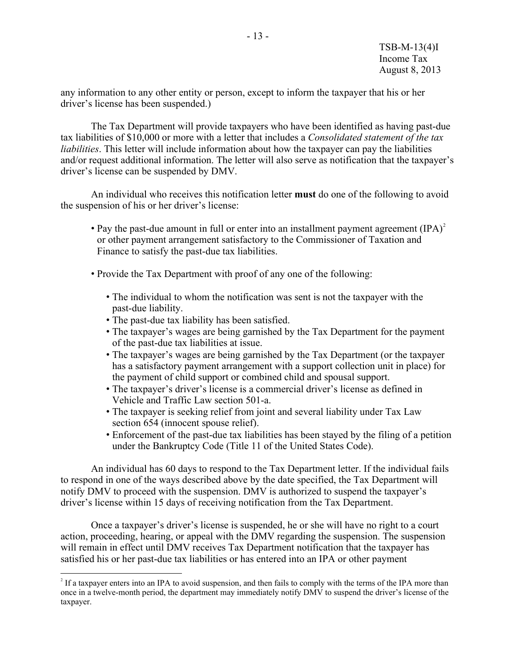any information to any other entity or person, except to inform the taxpayer that his or her driver's license has been suspended.)

The Tax Department will provide taxpayers who have been identified as having past-due tax liabilities of \$10,000 or more with a letter that includes a *Consolidated statement of the tax liabilities*. This letter will include information about how the taxpayer can pay the liabilities and/or request additional information. The letter will also serve as notification that the taxpayer's driver's license can be suspended by DMV.

An individual who receives this notification letter **must** do one of the following to avoid the suspension of his or her driver's license:

- Pay the past-due amount in full or enter into an installment payment agreement  $(IPA)^2$  $(IPA)^2$ or other payment arrangement satisfactory to the Commissioner of Taxation and Finance to satisfy the past-due tax liabilities.
- Provide the Tax Department with proof of any one of the following:
	- The individual to whom the notification was sent is not the taxpayer with the past-due liability.
	- The past-due tax liability has been satisfied.

 $\overline{a}$ 

- The taxpayer's wages are being garnished by the Tax Department for the payment of the past-due tax liabilities at issue.
- The taxpayer's wages are being garnished by the Tax Department (or the taxpayer has a satisfactory payment arrangement with a support collection unit in place) for the payment of child support or combined child and spousal support.
- The taxpayer's driver's license is a commercial driver's license as defined in Vehicle and Traffic Law section 501-a.
- The taxpayer is seeking relief from joint and several liability under Tax Law section 654 (innocent spouse relief).
- Enforcement of the past-due tax liabilities has been stayed by the filing of a petition under the Bankruptcy Code (Title 11 of the United States Code).

An individual has 60 days to respond to the Tax Department letter. If the individual fails to respond in one of the ways described above by the date specified, the Tax Department will notify DMV to proceed with the suspension. DMV is authorized to suspend the taxpayer's driver's license within 15 days of receiving notification from the Tax Department.

Once a taxpayer's driver's license is suspended, he or she will have no right to a court action, proceeding, hearing, or appeal with the DMV regarding the suspension. The suspension will remain in effect until DMV receives Tax Department notification that the taxpayer has satisfied his or her past-due tax liabilities or has entered into an IPA or other payment

<span id="page-12-0"></span><sup>&</sup>lt;sup>2</sup> If a taxpayer enters into an IPA to avoid suspension, and then fails to comply with the terms of the IPA more than once in a twelve-month period, the department may immediately notify DMV to suspend the driver's license of the taxpayer.